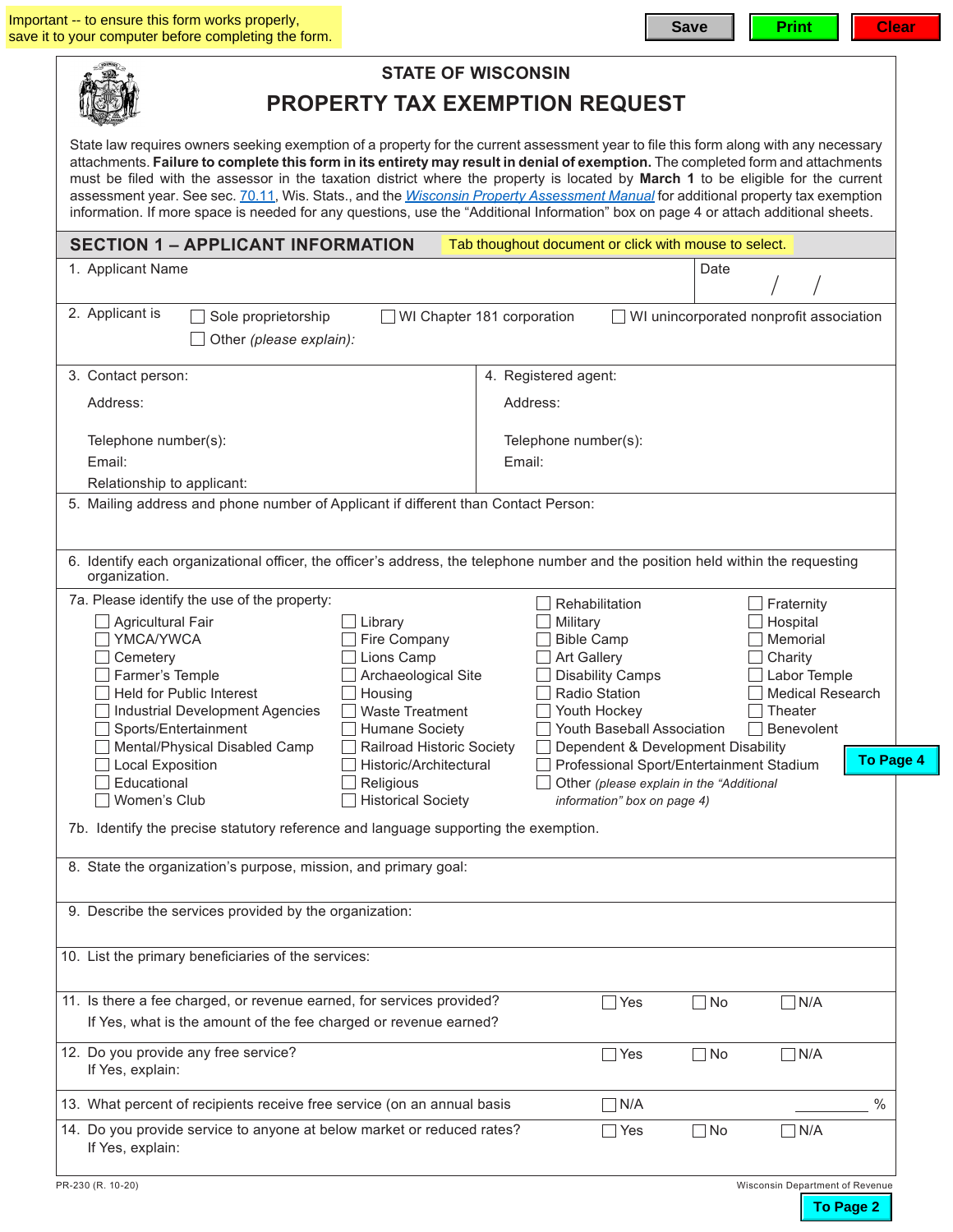| <b>STATE OF WISCONSIN</b>                                                                                                                                                                                                                                                                                                                                                                                                                                                                                                                                                                                                                                                                      |                                                                                                                                                                                                                                                                                                                                                                                                                                                                     |  |  |  |  |  |  |
|------------------------------------------------------------------------------------------------------------------------------------------------------------------------------------------------------------------------------------------------------------------------------------------------------------------------------------------------------------------------------------------------------------------------------------------------------------------------------------------------------------------------------------------------------------------------------------------------------------------------------------------------------------------------------------------------|---------------------------------------------------------------------------------------------------------------------------------------------------------------------------------------------------------------------------------------------------------------------------------------------------------------------------------------------------------------------------------------------------------------------------------------------------------------------|--|--|--|--|--|--|
| <b>PROPERTY TAX EXEMPTION REQUEST</b>                                                                                                                                                                                                                                                                                                                                                                                                                                                                                                                                                                                                                                                          |                                                                                                                                                                                                                                                                                                                                                                                                                                                                     |  |  |  |  |  |  |
| State law requires owners seeking exemption of a property for the current assessment year to file this form along with any necessary<br>attachments. Failure to complete this form in its entirety may result in denial of exemption. The completed form and attachments<br>must be filed with the assessor in the taxation district where the property is located by March 1 to be eligible for the current<br>assessment year. See sec. 70.11, Wis. Stats., and the <i>Wisconsin Property Assessment Manual</i> for additional property tax exemption<br>information. If more space is needed for any questions, use the "Additional Information" box on page 4 or attach additional sheets. |                                                                                                                                                                                                                                                                                                                                                                                                                                                                     |  |  |  |  |  |  |
| <b>SECTION 1 - APPLICANT INFORMATION</b>                                                                                                                                                                                                                                                                                                                                                                                                                                                                                                                                                                                                                                                       | Tab thoughout document or click with mouse to select.                                                                                                                                                                                                                                                                                                                                                                                                               |  |  |  |  |  |  |
| 1. Applicant Name                                                                                                                                                                                                                                                                                                                                                                                                                                                                                                                                                                                                                                                                              | Date                                                                                                                                                                                                                                                                                                                                                                                                                                                                |  |  |  |  |  |  |
| 2. Applicant is<br>Sole proprietorship<br>WI Chapter 181 corporation<br>WI unincorporated nonprofit association<br>Other (please explain):                                                                                                                                                                                                                                                                                                                                                                                                                                                                                                                                                     |                                                                                                                                                                                                                                                                                                                                                                                                                                                                     |  |  |  |  |  |  |
| 3. Contact person:                                                                                                                                                                                                                                                                                                                                                                                                                                                                                                                                                                                                                                                                             | 4. Registered agent:                                                                                                                                                                                                                                                                                                                                                                                                                                                |  |  |  |  |  |  |
| Address:                                                                                                                                                                                                                                                                                                                                                                                                                                                                                                                                                                                                                                                                                       | Address:                                                                                                                                                                                                                                                                                                                                                                                                                                                            |  |  |  |  |  |  |
| Telephone number(s):<br>Email:                                                                                                                                                                                                                                                                                                                                                                                                                                                                                                                                                                                                                                                                 | Telephone number(s):<br>Email:                                                                                                                                                                                                                                                                                                                                                                                                                                      |  |  |  |  |  |  |
| Relationship to applicant:                                                                                                                                                                                                                                                                                                                                                                                                                                                                                                                                                                                                                                                                     |                                                                                                                                                                                                                                                                                                                                                                                                                                                                     |  |  |  |  |  |  |
| 5. Mailing address and phone number of Applicant if different than Contact Person:                                                                                                                                                                                                                                                                                                                                                                                                                                                                                                                                                                                                             |                                                                                                                                                                                                                                                                                                                                                                                                                                                                     |  |  |  |  |  |  |
| 6. Identify each organizational officer, the officer's address, the telephone number and the position held within the requesting<br>organization.                                                                                                                                                                                                                                                                                                                                                                                                                                                                                                                                              |                                                                                                                                                                                                                                                                                                                                                                                                                                                                     |  |  |  |  |  |  |
| 7a. Please identify the use of the property:<br><b>Agricultural Fair</b><br>Library<br>YMCA/YWCA<br>Fire Company<br>Lions Camp<br>Cemetery<br>Archaeological Site<br>Farmer's Temple<br><b>Held for Public Interest</b><br>Housing<br><b>Waste Treatment</b><br>Industrial Development Agencies<br>Sports/Entertainment<br>Humane Society<br>Mental/Physical Disabled Camp<br>Railroad Historic Society<br><b>Local Exposition</b><br>Historic/Architectural<br>Educational<br>Religious<br><b>Historical Society</b><br>Women's Club                                                                                                                                                          | Rehabilitation<br>Fraternity<br>Hospital<br>Military<br>Memorial<br><b>Bible Camp</b><br>Art Gallery<br>Charity<br>Labor Temple<br><b>Disability Camps</b><br><b>Radio Station</b><br><b>Medical Research</b><br>Youth Hockey<br>Theater<br>Youth Baseball Association<br>Benevolent<br>Dependent & Development Disability<br><b>To Page</b><br>Professional Sport/Entertainment Stadium<br>Other (please explain in the "Additional<br>information" box on page 4) |  |  |  |  |  |  |
| 7b. Identify the precise statutory reference and language supporting the exemption.<br>8. State the organization's purpose, mission, and primary goal:                                                                                                                                                                                                                                                                                                                                                                                                                                                                                                                                         |                                                                                                                                                                                                                                                                                                                                                                                                                                                                     |  |  |  |  |  |  |
| 9. Describe the services provided by the organization:                                                                                                                                                                                                                                                                                                                                                                                                                                                                                                                                                                                                                                         |                                                                                                                                                                                                                                                                                                                                                                                                                                                                     |  |  |  |  |  |  |
| 10. List the primary beneficiaries of the services:                                                                                                                                                                                                                                                                                                                                                                                                                                                                                                                                                                                                                                            |                                                                                                                                                                                                                                                                                                                                                                                                                                                                     |  |  |  |  |  |  |
| 11. Is there a fee charged, or revenue earned, for services provided?<br>If Yes, what is the amount of the fee charged or revenue earned?                                                                                                                                                                                                                                                                                                                                                                                                                                                                                                                                                      | $\neg N/A$<br>Yes<br>$\Box$ No                                                                                                                                                                                                                                                                                                                                                                                                                                      |  |  |  |  |  |  |
| 12. Do you provide any free service?<br>If Yes, explain:                                                                                                                                                                                                                                                                                                                                                                                                                                                                                                                                                                                                                                       | $\neg$ No<br>$\n  1N/A$<br>Yes                                                                                                                                                                                                                                                                                                                                                                                                                                      |  |  |  |  |  |  |
| 13. What percent of recipients receive free service (on an annual basis                                                                                                                                                                                                                                                                                                                                                                                                                                                                                                                                                                                                                        | N/A<br>$\frac{0}{0}$                                                                                                                                                                                                                                                                                                                                                                                                                                                |  |  |  |  |  |  |
| 14. Do you provide service to anyone at below market or reduced rates?<br>If Yes, explain:                                                                                                                                                                                                                                                                                                                                                                                                                                                                                                                                                                                                     | Yes<br>$\Box$ No<br>$\n  n/A$                                                                                                                                                                                                                                                                                                                                                                                                                                       |  |  |  |  |  |  |
| PR-230 (R. 10-20)                                                                                                                                                                                                                                                                                                                                                                                                                                                                                                                                                                                                                                                                              | Wisconsin Department of Revenue                                                                                                                                                                                                                                                                                                                                                                                                                                     |  |  |  |  |  |  |

**To Page 2**

**To Page 4**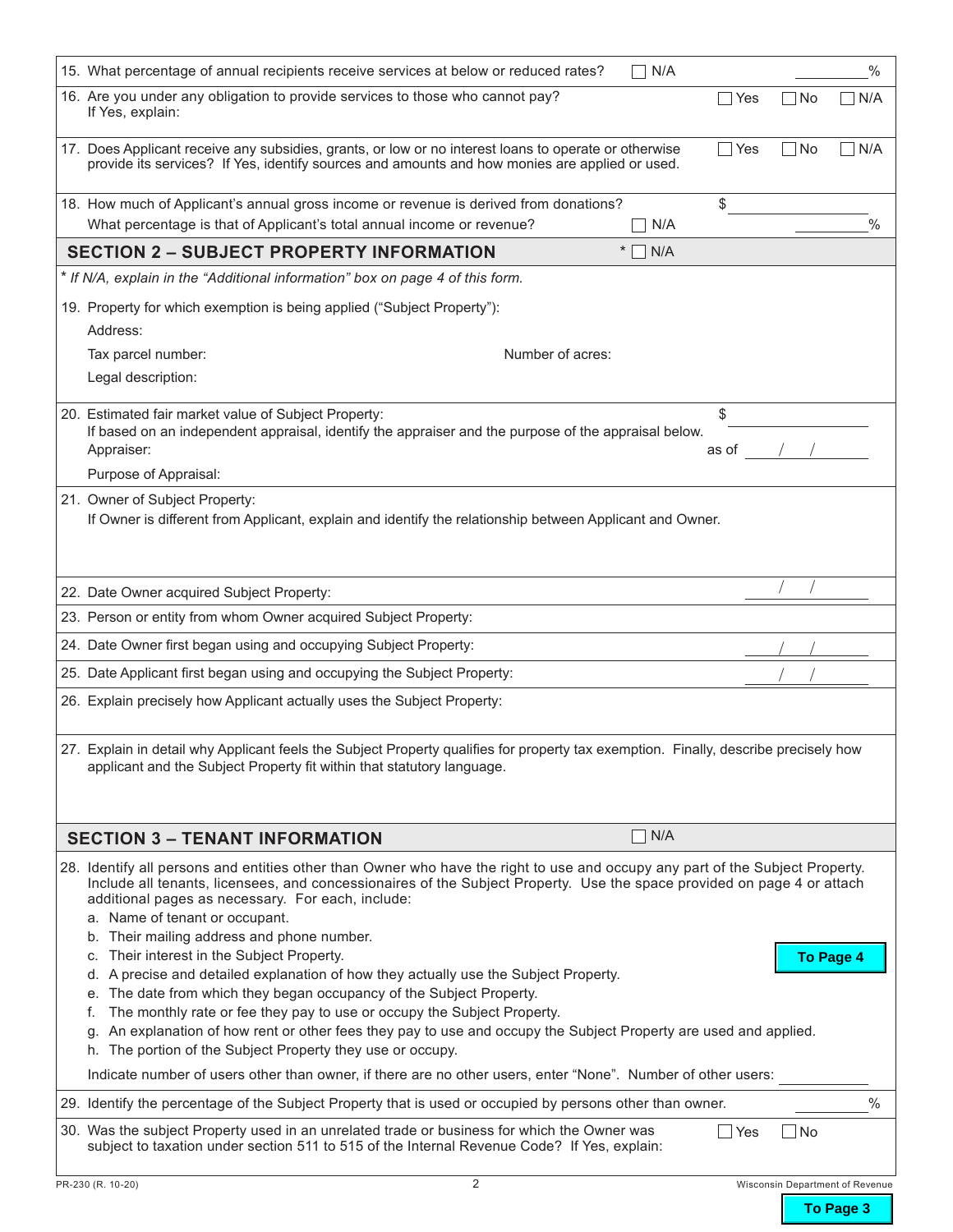| 15. What percentage of annual recipients receive services at below or reduced rates?                                                                                                                                                                                                                                                                                                          | N/A |       |           | $\%$                            |  |  |  |  |  |
|-----------------------------------------------------------------------------------------------------------------------------------------------------------------------------------------------------------------------------------------------------------------------------------------------------------------------------------------------------------------------------------------------|-----|-------|-----------|---------------------------------|--|--|--|--|--|
| 16. Are you under any obligation to provide services to those who cannot pay?<br>If Yes, explain:                                                                                                                                                                                                                                                                                             |     | Yes   | ∣No       | N/A                             |  |  |  |  |  |
| 17. Does Applicant receive any subsidies, grants, or low or no interest loans to operate or otherwise<br>provide its services? If Yes, identify sources and amounts and how monies are applied or used.                                                                                                                                                                                       |     | Yes   | ∣No       | N/A                             |  |  |  |  |  |
| 18. How much of Applicant's annual gross income or revenue is derived from donations?<br>What percentage is that of Applicant's total annual income or revenue?                                                                                                                                                                                                                               | N/A | \$    |           | $\frac{0}{0}$                   |  |  |  |  |  |
| <b>SECTION 2 - SUBJECT PROPERTY INFORMATION</b><br>$\ast$                                                                                                                                                                                                                                                                                                                                     | N/A |       |           |                                 |  |  |  |  |  |
| * If N/A, explain in the "Additional information" box on page 4 of this form.                                                                                                                                                                                                                                                                                                                 |     |       |           |                                 |  |  |  |  |  |
| 19. Property for which exemption is being applied ("Subject Property"):                                                                                                                                                                                                                                                                                                                       |     |       |           |                                 |  |  |  |  |  |
| Address:                                                                                                                                                                                                                                                                                                                                                                                      |     |       |           |                                 |  |  |  |  |  |
| Tax parcel number:<br>Number of acres:                                                                                                                                                                                                                                                                                                                                                        |     |       |           |                                 |  |  |  |  |  |
| Legal description:                                                                                                                                                                                                                                                                                                                                                                            |     |       |           |                                 |  |  |  |  |  |
| 20. Estimated fair market value of Subject Property:                                                                                                                                                                                                                                                                                                                                          |     | \$    |           |                                 |  |  |  |  |  |
| If based on an independent appraisal, identify the appraiser and the purpose of the appraisal below.                                                                                                                                                                                                                                                                                          |     |       |           |                                 |  |  |  |  |  |
| Appraiser:                                                                                                                                                                                                                                                                                                                                                                                    |     | as of |           |                                 |  |  |  |  |  |
| Purpose of Appraisal:                                                                                                                                                                                                                                                                                                                                                                         |     |       |           |                                 |  |  |  |  |  |
| 21. Owner of Subject Property:<br>If Owner is different from Applicant, explain and identify the relationship between Applicant and Owner.                                                                                                                                                                                                                                                    |     |       |           |                                 |  |  |  |  |  |
| 22. Date Owner acquired Subject Property:                                                                                                                                                                                                                                                                                                                                                     |     |       |           |                                 |  |  |  |  |  |
| 23. Person or entity from whom Owner acquired Subject Property:                                                                                                                                                                                                                                                                                                                               |     |       |           |                                 |  |  |  |  |  |
| 24. Date Owner first began using and occupying Subject Property:                                                                                                                                                                                                                                                                                                                              |     |       |           |                                 |  |  |  |  |  |
| 25. Date Applicant first began using and occupying the Subject Property:                                                                                                                                                                                                                                                                                                                      |     |       |           |                                 |  |  |  |  |  |
| 26. Explain precisely how Applicant actually uses the Subject Property:                                                                                                                                                                                                                                                                                                                       |     |       |           |                                 |  |  |  |  |  |
| 27. Explain in detail why Applicant feels the Subject Property qualifies for property tax exemption. Finally, describe precisely how<br>applicant and the Subject Property fit within that statutory language.                                                                                                                                                                                |     |       |           |                                 |  |  |  |  |  |
| <b>SECTION 3 - TENANT INFORMATION</b>                                                                                                                                                                                                                                                                                                                                                         | N/A |       |           |                                 |  |  |  |  |  |
| 28. Identify all persons and entities other than Owner who have the right to use and occupy any part of the Subject Property.<br>Include all tenants, licensees, and concessionaires of the Subject Property. Use the space provided on page 4 or attach<br>additional pages as necessary. For each, include:<br>a. Name of tenant or occupant.<br>b. Their mailing address and phone number. |     |       |           |                                 |  |  |  |  |  |
| c. Their interest in the Subject Property.                                                                                                                                                                                                                                                                                                                                                    |     |       |           | <b>To Page 4</b>                |  |  |  |  |  |
| d. A precise and detailed explanation of how they actually use the Subject Property.                                                                                                                                                                                                                                                                                                          |     |       |           |                                 |  |  |  |  |  |
| e. The date from which they began occupancy of the Subject Property.                                                                                                                                                                                                                                                                                                                          |     |       |           |                                 |  |  |  |  |  |
| The monthly rate or fee they pay to use or occupy the Subject Property.<br>t.<br>An explanation of how rent or other fees they pay to use and occupy the Subject Property are used and applied.<br>q.                                                                                                                                                                                         |     |       |           |                                 |  |  |  |  |  |
| h. The portion of the Subject Property they use or occupy.                                                                                                                                                                                                                                                                                                                                    |     |       |           |                                 |  |  |  |  |  |
| Indicate number of users other than owner, if there are no other users, enter "None". Number of other users:                                                                                                                                                                                                                                                                                  |     |       |           |                                 |  |  |  |  |  |
| 29. Identify the percentage of the Subject Property that is used or occupied by persons other than owner.                                                                                                                                                                                                                                                                                     |     |       |           | $\frac{0}{0}$                   |  |  |  |  |  |
| 30. Was the subject Property used in an unrelated trade or business for which the Owner was<br>subject to taxation under section 511 to 515 of the Internal Revenue Code? If Yes, explain:                                                                                                                                                                                                    |     | Yes   | $\Box$ No |                                 |  |  |  |  |  |
| $\overline{2}$<br>PR-230 (R. 10-20)                                                                                                                                                                                                                                                                                                                                                           |     |       |           | Wisconsin Department of Revenue |  |  |  |  |  |

**To Page 3**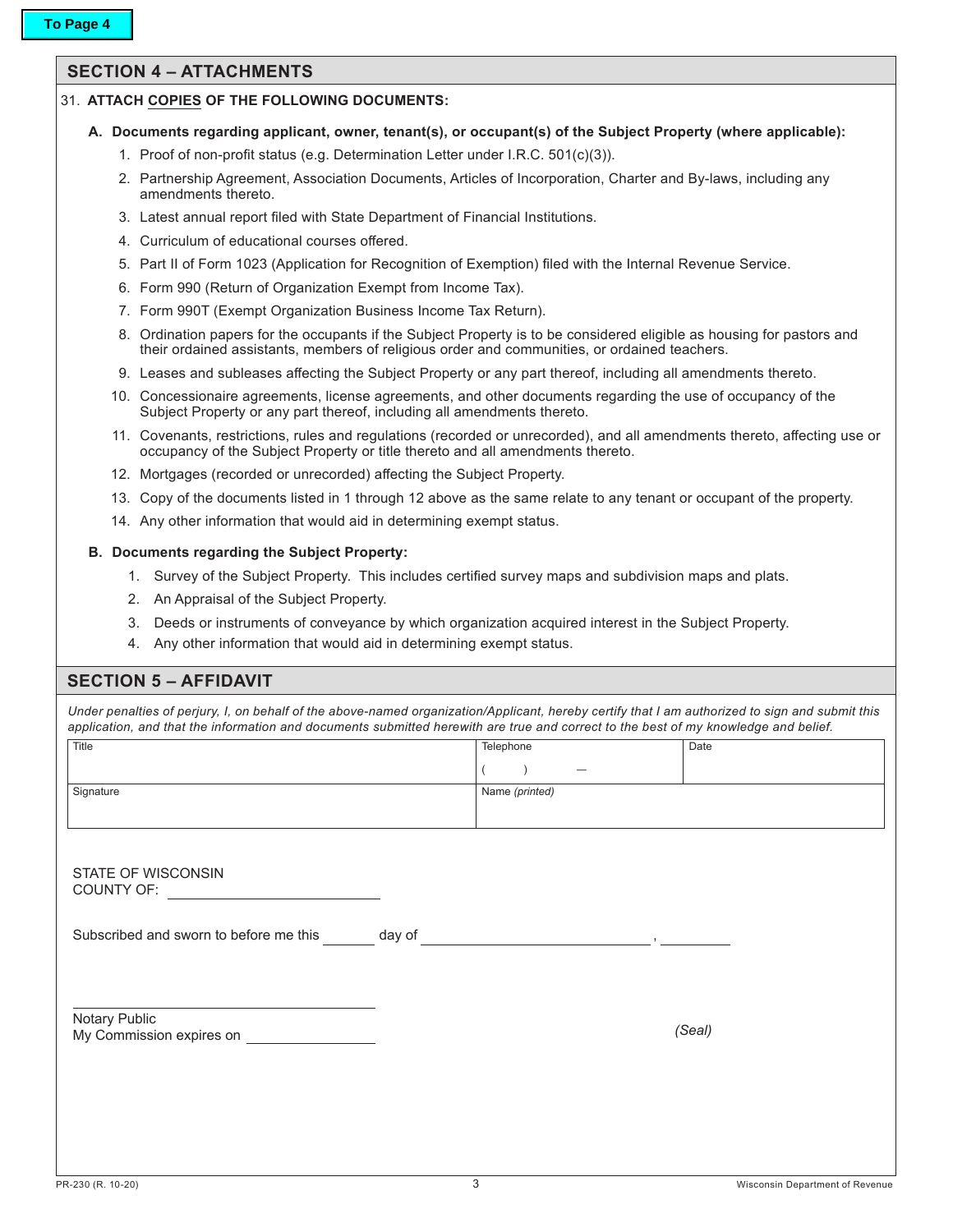## **SECTION 4 – ATTACHMENTS**

## 31. **ATTACH COPIES OF THE FOLLOWING DOCUMENTS:**

- **A. Documents regarding applicant, owner, tenant(s), or occupant(s) of the Subject Property (where applicable):**
	- 1. Proof of non-profit status (e.g. Determination Letter under I.R.C. 501(c)(3)).
	- 2. Partnership Agreement, Association Documents, Articles of Incorporation, Charter and By-laws, including any amendments thereto.
	- 3. Latest annual report filed with State Department of Financial Institutions.
	- 4. Curriculum of educational courses offered.
	- 5. Part II of Form 1023 (Application for Recognition of Exemption) filed with the Internal Revenue Service.
	- 6. Form 990 (Return of Organization Exempt from Income Tax).
	- 7. Form 990T (Exempt Organization Business Income Tax Return).
	- 8. Ordination papers for the occupants if the Subject Property is to be considered eligible as housing for pastors and their ordained assistants, members of religious order and communities, or ordained teachers.
	- 9. Leases and subleases affecting the Subject Property or any part thereof, including all amendments thereto.
	- 10. Concessionaire agreements, license agreements, and other documents regarding the use of occupancy of the Subject Property or any part thereof, including all amendments thereto.
	- 11. Covenants, restrictions, rules and regulations (recorded or unrecorded), and all amendments thereto, affecting use or occupancy of the Subject Property or title thereto and all amendments thereto.
	- 12. Mortgages (recorded or unrecorded) affecting the Subject Property.
	- 13. Copy of the documents listed in 1 through 12 above as the same relate to any tenant or occupant of the property.
	- 14. Any other information that would aid in determining exempt status.

## **B. Documents regarding the Subject Property:**

- 1. Survey of the Subject Property. This includes certified survey maps and subdivision maps and plats.
- 2. An Appraisal of the Subject Property.
- 3. Deeds or instruments of conveyance by which organization acquired interest in the Subject Property.
- 4. Any other information that would aid in determining exempt status.

## **SECTION 5 – AFFIDAVIT**

*Under penalties of perjury, I, on behalf of the above-named organization/Applicant, hereby certify that I am authorized to sign and submit this application, and that the information and documents submitted herewith are true and correct to the best of my knowledge and belief.*

| Title                                  |        | Telephone                                                                       | Date   |
|----------------------------------------|--------|---------------------------------------------------------------------------------|--------|
|                                        |        |                                                                                 |        |
| Signature                              |        | Name (printed)                                                                  |        |
|                                        |        |                                                                                 |        |
|                                        |        |                                                                                 |        |
| STATE OF WISCONSIN                     |        |                                                                                 |        |
| COUNTY OF:                             |        |                                                                                 |        |
|                                        |        |                                                                                 |        |
| Subscribed and sworn to before me this | day of | the contract of the contract of the contract of the contract of the contract of |        |
|                                        |        |                                                                                 |        |
|                                        |        |                                                                                 |        |
| Notary Public                          |        |                                                                                 |        |
| My Commission expires on               |        |                                                                                 | (Seal) |
|                                        |        |                                                                                 |        |
|                                        |        |                                                                                 |        |
|                                        |        |                                                                                 |        |
|                                        |        |                                                                                 |        |